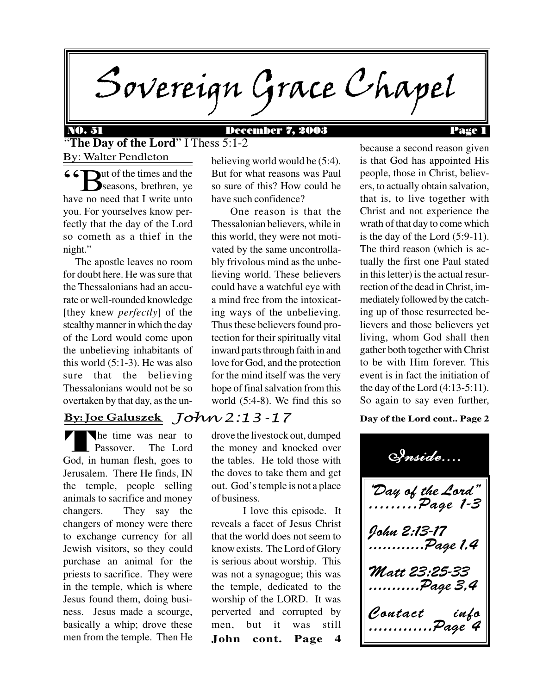Sovereign Grace Chapel

"**The Day of the Lord**" I Thess 5:1-2

66 Wut of the times and the<br>
Seasons, brethren, ye seasons, brethren, ye have no need that I write unto you. For yourselves know perfectly that the day of the Lord so cometh as a thief in the night."

By: Walter Pendleton

 The apostle leaves no room for doubt here. He was sure that the Thessalonians had an accurate or well-rounded knowledge [they knew *perfectly*] of the stealthy manner in which the day of the Lord would come upon the unbelieving inhabitants of this world (5:1-3). He was also sure that the believing Thessalonians would not be so overtaken by that day, as the un-

## <u>By: Joe Galuszek</u> J*OW 2:13 -* 17

THE R he time was near to Passover. The Lord God, in human flesh, goes to Jerusalem. There He finds, IN the temple, people selling animals to sacrifice and money changers. They say the changers of money were there to exchange currency for all Jewish visitors, so they could purchase an animal for the priests to sacrifice. They were in the temple, which is where Jesus found them, doing business. Jesus made a scourge, basically a whip; drove these men from the temple. Then He

believing world would be (5:4). But for what reasons was Paul so sure of this? How could he have such confidence?

 One reason is that the Thessalonian believers, while in this world, they were not motivated by the same uncontrollably frivolous mind as the unbelieving world. These believers could have a watchful eye with a mind free from the intoxicating ways of the unbelieving. Thus these believers found protection for their spiritually vital inward parts through faith in and love for God, and the protection for the mind itself was the very hope of final salvation from this world (5:4-8). We find this so

drove the livestock out, dumped the money and knocked over the tables. He told those with the doves to take them and get out. God's temple is not a place of business.

**John cont. Page 4** I love this episode. It reveals a facet of Jesus Christ that the world does not seem to know exists. The Lord of Glory is serious about worship. This was not a synagogue; this was the temple, dedicated to the worship of the LORD. It was perverted and corrupted by men, but it was still

because a second reason given is that God has appointed His people, those in Christ, believers, to actually obtain salvation, that is, to live together with Christ and not experience the wrath of that day to come which is the day of the Lord (5:9-11). The third reason (which is actually the first one Paul stated in this letter) is the actual resurrection of the dead in Christ, immediately followed by the catching up of those resurrected believers and those believers yet living, whom God shall then gather both together with Christ to be with Him forever. This event is in fact the initiation of the day of the Lord (4:13-5:11). So again to say even further,

#### **Day of the Lord cont.. Page 2**

Day of the Lord" .........Page 1-3 John 2:13-17 ............Page 1,4 Matt 23:25-33 ...........Page 3,4 Contact info .............Page 4 Inside....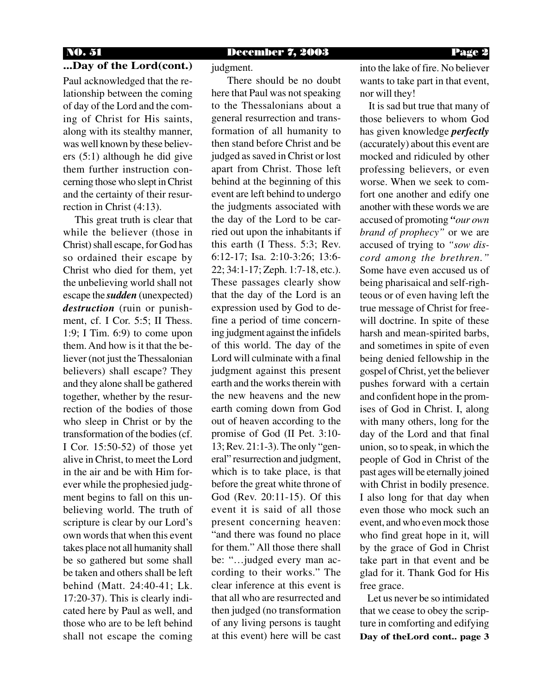## **...Day of the Lord(cont.)**

Paul acknowledged that the relationship between the coming of day of the Lord and the coming of Christ for His saints, along with its stealthy manner, was well known by these believers (5:1) although he did give them further instruction concerning those who slept in Christ and the certainty of their resurrection in Christ (4:13).

 This great truth is clear that while the believer (those in Christ) shall escape, for God has so ordained their escape by Christ who died for them, yet the unbelieving world shall not escape the *sudden* (unexpected) *destruction* (ruin or punishment, cf. I Cor. 5:5; II Thess. 1:9; I Tim. 6:9) to come upon them. And how is it that the believer (not just the Thessalonian believers) shall escape? They and they alone shall be gathered together, whether by the resurrection of the bodies of those who sleep in Christ or by the transformation of the bodies (cf. I Cor. 15:50-52) of those yet alive in Christ, to meet the Lord in the air and be with Him forever while the prophesied judgment begins to fall on this unbelieving world. The truth of scripture is clear by our Lord's own words that when this event takes place not all humanity shall be so gathered but some shall be taken and others shall be left behind (Matt. 24:40-41; Lk. 17:20-37). This is clearly indicated here by Paul as well, and those who are to be left behind shall not escape the coming

judgment.

 There should be no doubt here that Paul was not speaking to the Thessalonians about a general resurrection and transformation of all humanity to then stand before Christ and be judged as saved in Christ or lost apart from Christ. Those left behind at the beginning of this event are left behind to undergo the judgments associated with the day of the Lord to be carried out upon the inhabitants if this earth (I Thess. 5:3; Rev. 6:12-17; Isa. 2:10-3:26; 13:6- 22; 34:1-17; Zeph. 1:7-18, etc.). These passages clearly show that the day of the Lord is an expression used by God to define a period of time concerning judgment against the infidels of this world. The day of the Lord will culminate with a final judgment against this present earth and the works therein with the new heavens and the new earth coming down from God out of heaven according to the promise of God (II Pet. 3:10- 13; Rev. 21:1-3). The only "general" resurrection and judgment, which is to take place, is that before the great white throne of God (Rev. 20:11-15). Of this event it is said of all those present concerning heaven: "and there was found no place for them." All those there shall be: "…judged every man according to their works." The clear inference at this event is that all who are resurrected and then judged (no transformation of any living persons is taught at this event) here will be cast into the lake of fire. No believer wants to take part in that event, nor will they!

 It is sad but true that many of those believers to whom God has given knowledge *perfectly* (accurately) about this event are mocked and ridiculed by other professing believers, or even worse. When we seek to comfort one another and edify one another with these words we are accused of promoting *"our own brand of prophecy"* or we are accused of trying to *"sow discord among the brethren."* Some have even accused us of being pharisaical and self-righteous or of even having left the true message of Christ for freewill doctrine. In spite of these harsh and mean-spirited barbs, and sometimes in spite of even being denied fellowship in the gospel of Christ, yet the believer pushes forward with a certain and confident hope in the promises of God in Christ. I, along with many others, long for the day of the Lord and that final union, so to speak, in which the people of God in Christ of the past ages will be eternally joined with Christ in bodily presence. I also long for that day when even those who mock such an event, and who even mock those who find great hope in it, will by the grace of God in Christ take part in that event and be glad for it. Thank God for His free grace.

**Day of theLord cont.. page 3** Let us never be so intimidated that we cease to obey the scripture in comforting and edifying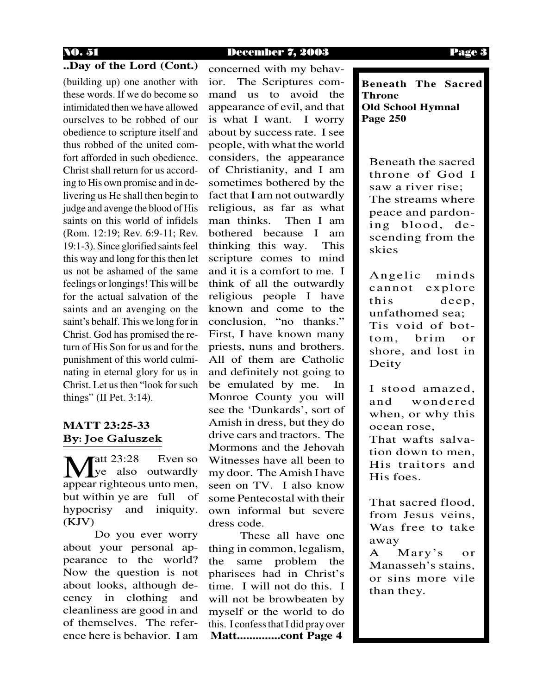#### **..Day of the Lord (Cont.)**

(building up) one another with these words. If we do become so intimidated then we have allowed ourselves to be robbed of our obedience to scripture itself and thus robbed of the united comfort afforded in such obedience. Christ shall return for us according to His own promise and in delivering us He shall then begin to judge and avenge the blood of His saints on this world of infidels (Rom. 12:19; Rev. 6:9-11; Rev. 19:1-3). Since glorified saints feel this way and long for this then let us not be ashamed of the same feelings or longings! This will be for the actual salvation of the saints and an avenging on the saint's behalf. This we long for in Christ. God has promised the return of His Son for us and for the punishment of this world culminating in eternal glory for us in Christ. Let us then "look for such things" (II Pet. 3:14).

### By: Joe Galuszek **MATT 23:25-33**

Fatt 23:28 Even so  $\vee$  ye also outwardly **M** strategier 23:28 Even so<br>appear righteous unto men, but within ye are full of hypocrisy and iniquity. (KJV)

Do you ever worry about your personal appearance to the world? Now the question is not about looks, although decency in clothing and cleanliness are good in and of themselves. The reference here is behavior. I am concerned with my behavior. The Scriptures command us to avoid the appearance of evil, and that is what I want. I worry about by success rate. I see people, with what the world considers, the appearance of Christianity, and I am sometimes bothered by the fact that I am not outwardly religious, as far as what man thinks. Then I am bothered because I am thinking this way. This scripture comes to mind and it is a comfort to me. I think of all the outwardly religious people I have known and come to the conclusion, "no thanks." First, I have known many priests, nuns and brothers. All of them are Catholic and definitely not going to be emulated by me. In Monroe County you will see the 'Dunkards', sort of Amish in dress, but they do drive cars and tractors. The Mormons and the Jehovah Witnesses have all been to my door. The Amish I have seen on TV. I also know some Pentecostal with their own informal but severe dress code.

**Matt..............cont Page 4** These all have one thing in common, legalism, the same problem the pharisees had in Christ's time. I will not do this. I will not be browbeaten by myself or the world to do this. I confess that I did pray over

**Beneath The Sacred Throne Old School Hymnal Page 250**

Beneath the sacred throne of God I saw a river rise; The streams where peace and pardoning blood, descending from the skies

Angelic minds cannot explore this deep, unfathomed sea; Tis void of bottom, brim or shore, and lost in Deity

I stood amazed, and wondered when, or why this ocean rose,

That wafts salvation down to men, His traitors and His foes.

That sacred flood, from Jesus veins, Was free to take away

A Mary's or Manasseh's stains, or sins more vile than they.